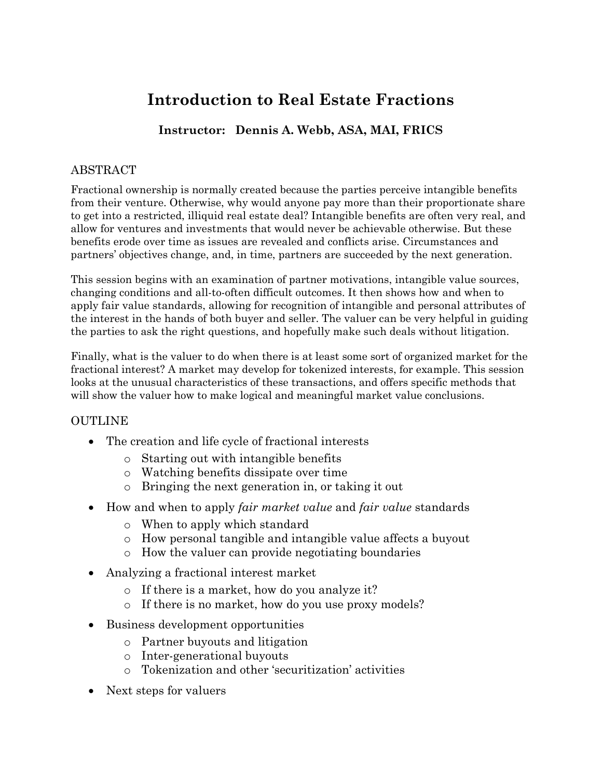# **Introduction to Real Estate Fractions**

## **Instructor: Dennis A. Webb, ASA, MAI, FRICS**

### ABSTRACT

Fractional ownership is normally created because the parties perceive intangible benefits from their venture. Otherwise, why would anyone pay more than their proportionate share to get into a restricted, illiquid real estate deal? Intangible benefits are often very real, and allow for ventures and investments that would never be achievable otherwise. But these benefits erode over time as issues are revealed and conflicts arise. Circumstances and partners' objectives change, and, in time, partners are succeeded by the next generation.

This session begins with an examination of partner motivations, intangible value sources, changing conditions and all-to-often difficult outcomes. It then shows how and when to apply fair value standards, allowing for recognition of intangible and personal attributes of the interest in the hands of both buyer and seller. The valuer can be very helpful in guiding the parties to ask the right questions, and hopefully make such deals without litigation.

Finally, what is the valuer to do when there is at least some sort of organized market for the fractional interest? A market may develop for tokenized interests, for example. This session looks at the unusual characteristics of these transactions, and offers specific methods that will show the valuer how to make logical and meaningful market value conclusions.

#### OUTLINE

- The creation and life cycle of fractional interests
	- o Starting out with intangible benefits
	- o Watching benefits dissipate over time
	- o Bringing the next generation in, or taking it out
- How and when to apply *fair market value* and *fair value* standards
	- o When to apply which standard
	- o How personal tangible and intangible value affects a buyout
	- o How the valuer can provide negotiating boundaries
- Analyzing a fractional interest market
	- o If there is a market, how do you analyze it?
	- o If there is no market, how do you use proxy models?
- Business development opportunities
	- o Partner buyouts and litigation
	- o Inter-generational buyouts
	- o Tokenization and other 'securitization' activities
- Next steps for valuers